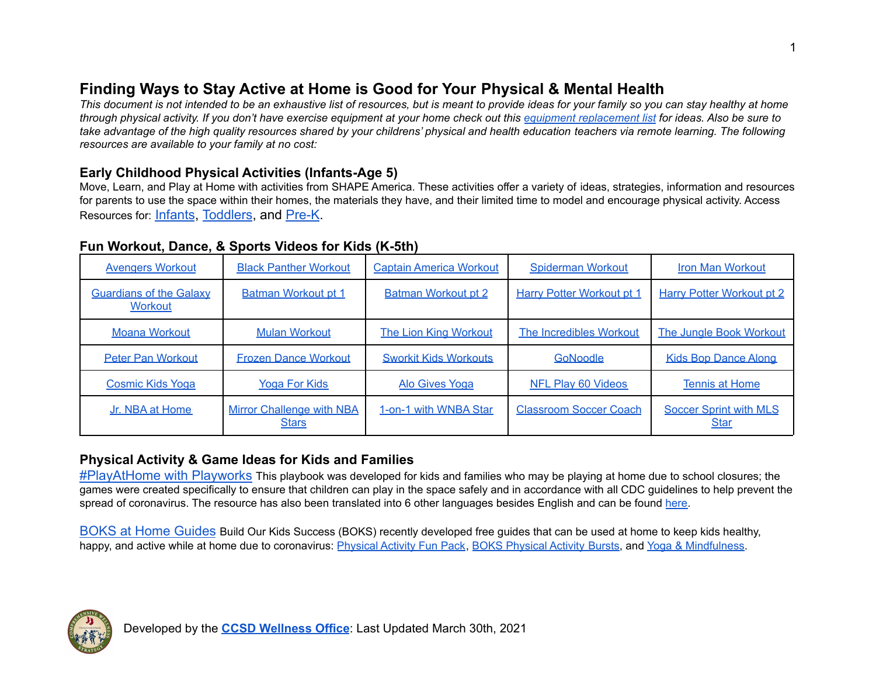# **Finding Ways to Stay Active at Home is Good for Your Physical & Mental Health**

This document is not intended to be an exhaustive list of resources, but is meant to provide ideas for your family so you can stay healthy at home through physical activity. If you don't have exercise equipment at your home check out this equipment [replacement](https://mk0bloggophersprvo63.kinstacdn.com/wp-content/uploads/2020/04/Active-At-Home-Equipment-Substitutions_4.8.2020.pdf) list for ideas. Also be sure to take advantage of the high quality resources shared by your childrens' physical and health education teachers via remote learning. The following *resources are available to your family at no cost:*

# **Early Childhood Physical Activities (Infants-Age 5)**

Move, Learn, and Play at Home with activities from SHAPE America. These activities offer a variety of ideas, strategies, information and resources for parents to use the space within their homes, the materials they have, and their limited time to model and encourage physical activity. Access Resources for: [Infants](https://drive.google.com/drive/folders/1BegU32yq7unWqRSKO8lWA76n63m1P8hq?usp=sharing), [Toddlers](https://drive.google.com/drive/folders/17l5meFOB8x3gHIx-feYSTWpCXjhhIZm6?usp=sharing), and [Pre-K](https://drive.google.com/drive/folders/1wq6Z3nxf_a5YLTX6OMVym2pI6y79L094?usp=sharing).

### **Fun Workout, Dance, & Sports Videos for Kids (K-5th)**

| <b>Avengers Workout</b>                          | <b>Black Panther Workout</b>                     | <b>Captain America Workout</b> | <b>Spiderman Workout</b>         | <b>Iron Man Workout</b>                      |
|--------------------------------------------------|--------------------------------------------------|--------------------------------|----------------------------------|----------------------------------------------|
| <b>Guardians of the Galaxy</b><br><b>Workout</b> | <b>Batman Workout pt 1</b>                       | <b>Batman Workout pt 2</b>     | <b>Harry Potter Workout pt 1</b> | <b>Harry Potter Workout pt 2</b>             |
| <b>Moana Workout</b>                             | <b>Mulan Workout</b>                             | <b>The Lion King Workout</b>   | The Incredibles Workout          | The Jungle Book Workout                      |
| <b>Peter Pan Workout</b>                         | <b>Frozen Dance Workout</b>                      | <b>Sworkit Kids Workouts</b>   | GoNoodle                         | <b>Kids Bop Dance Along</b>                  |
| <b>Cosmic Kids Yoga</b>                          | <b>Yoga For Kids</b>                             | <b>Alo Gives Yoga</b>          | <b>NFL Play 60 Videos</b>        | <b>Tennis at Home</b>                        |
| Jr. NBA at Home                                  | <b>Mirror Challenge with NBA</b><br><b>Stars</b> | 1-on-1 with WNBA Star          | <b>Classroom Soccer Coach</b>    | <b>Soccer Sprint with MLS</b><br><u>Star</u> |

## **Physical Activity & Game Ideas for Kids and Families**

[#PlayAtHome with Playworks](https://www.playworks.org/wp-content/uploads/2020/03/Play-At-Home-Playbook-3.23.20.pdf) This playbook was developed for kids and families who may be playing at home due to school closures; the games were created specifically to ensure that children can play in the space safely and in accordance with all CDC guidelines to help prevent the spread of coronavirus. The resource has also been translated into 6 other languages besides English and can be found [here.](https://www.playworks.org/get-involved/play-at-home/)

[BOKS at Home Guides](https://www.bokskids.org/boks-at-home/) Build Our Kids Success (BOKS) recently developed free guides that can be used at home to keep kids healthy, happy, and active while at home due to coronavirus: [Physical](https://drive.google.com/file/d/19QMofyqQ-94Tn14l75-8tV7XvyV2RZQe/view?usp=sharing) Activity Fun Pack, BOKS Physical Activity Bursts, and Yoga & [Mindfulness](https://drive.google.com/file/d/1hUMI9uYBMCg2tAzFYKVwtpkAwHxJVZTJ/view?usp=sharing).

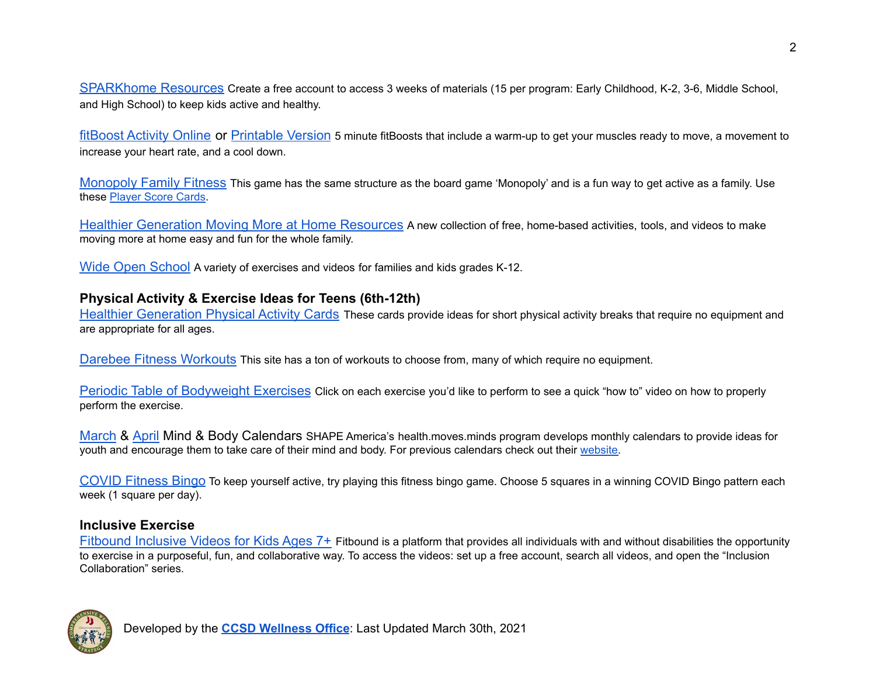[SPARKhome Resources](https://blog.sparkpe.org/free-sparkhome-resources/?utm_term=Free%20SPARK%20at-home%20lessons&utm_campaign=Gopher%20-%20Informational%20-%20COVID-19%20Update%20to%20Active%20Subs%20-%20March%202020&utm_content=email&utm_source=Act-On+Software&utm_medium=email&cm_mmc=Act-On%20Software-_-email-_-From%20the%20CEO%20of%20Gopher%3A%20Supporting%20you%20with%20free%20resources%20for%20PE%20and%20physical%20activity%20at%20home-_-Free%20SPARK%20at-home%20lessons) Create a free account to access 3 weeks of materials (15 per program: Early Childhood, K-2, 3-6, Middle School, and High School) to keep kids active and healthy.

[fitBoost Activity Online](https://fit.sanfordhealth.org/resources/fitboost-activity) or [Printable Version](https://fit.sanfordhealth.org/-/media/fit/printables/boost/fitboost.pdf?la=en&hash=399BE090192C145987A680BC300FD7E4A4C850E5) 5 minute fitBoosts that include a warm-up to get your muscles ready to move, a movement to increase your heart rate, and a cool down.

[Monopoly Family Fitness](https://drive.google.com/file/d/1iUHwDKK8HGvg_N9qRabgLEyONsG6-xV-/view?usp=sharing) This game has the same structure as the board game 'Monopoly' and is a fun way to get active as a family. Use these [Player](https://drive.google.com/file/d/1rCZHQuBQC_DEoTc10tFj76FUglOE1v1G/view?usp=sharing) Score Cards.

[Healthier Generation Moving More at Home Resources](https://www.healthiergeneration.org/campaigns/kohls-healthy-at-home/moving-more/staff?_cldee=bXBhdWxzb25AY2hlcnJ5Y3JlZWtzY2hvb2xzLm9yZw%3d%3d&recipientid=contact-37b8f2d7ef91e911a986000d3a10877d-52f04cb69ff044429dfcae6455898a4b&utm_source=ClickDimensions&utm_medium=email&utm_campaign=Kohl%27s%20Healthy%20at%20Home&esid=c3b22d43-3f95-ea11-a811-000d3a1ab768) A new collection of free, home-based activities, tools, and videos to make moving more at home easy and fun for the whole family.

[Wide Open School](https://wideopenschool.org/programs/family/6-12/get-moving/) A variety of exercises and videos for families and kids grades K-12.

#### **Physical Activity & Exercise Ideas for Teens (6th-12th)**

[Healthier Generation Physical Activity Cards](https://drive.google.com/file/d/1_lQ3AdmMzx5nYP_aCmIPZLPMLFFULy_O/view?usp=sharing) These cards provide ideas for short physical activity breaks that require no equipment and are appropriate for all ages.

[Darebee Fitness Workouts](https://darebee.com/workouts.html) This site has a ton of workouts to choose from, many of which require no equipment.

[Periodic Table of Bodyweight Exercises](https://www.cbhpe.org/periodic-table-youtube) Click on each exercise you'd like to perform to see a quick "how to" video on how to properly perform the exercise.

[March](https://drive.google.com/file/d/1klnxyVYf621b-iLOdPuMvqUT7pNv-b8P/view?usp=sharing) & [April](https://drive.google.com/file/d/1bmT1_5SPl0vSsjJqa5EJbwiFodlWBemF/view?usp=sharing) Mind & Body Calendars SHAPE America's health.moves.minds program develops monthly calendars to provide ideas for youth and encourage them to take care of their mind and body. For previous calendars check out their [website.](https://www.shapeamerica.org/publications/resources/teachingtools/teachertoolbox/calendar_archive.aspx)

[COVID Fitness Bingo](https://docs.google.com/document/d/16MQ6ZK8GOz5gZ-DqsJr11FOBQu0L6g_0A9Z5omavcdg/edit?usp=sharing) To keep yourself active, try playing this fitness bingo game. Choose 5 squares in a winning COVID Bingo pattern each week (1 square per day).

#### **Inclusive Exercise**

[Fitbound Inclusive Videos for Kids Ages 7+](https://fitbound.com/) Fitbound is a platform that provides all individuals with and without disabilities the opportunity to exercise in a purposeful, fun, and collaborative way. To access the videos: set up a free account, search all videos, and open the "Inclusion Collaboration" series.